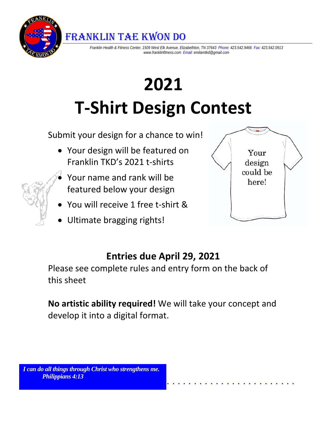FRANKLIN TAE KWON DO

*Franklin Health & Fitness Center, 1509 West Elk Avenue, Elizabethton, TN 37643 Phone: 423.542.9466 Fax: 423.542.0913 www.franklinfitness.com Email: emilamtkd@gmail.com* 

# **2021 T‐Shirt Design Contest**

Submit your design for a chance to win!

- Your design will be featured on Franklin TKD's 2021 t‐shirts
- Your name and rank will be featured below your design
- You will receive 1 free t-shirt &
- Ultimate bragging rights!



## **Entries due April 29, 2021**

Please see complete rules and entry form on the back of this sheet

**No artistic ability required!** We will take your concept and develop it into a digital format.